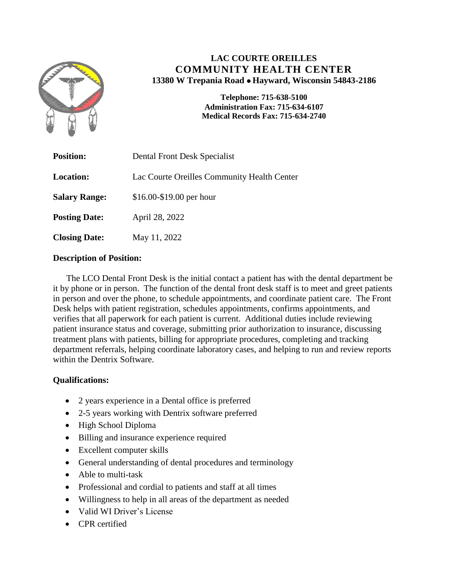

# **LAC COURTE OREILLES COMMUNITY HEALTH CENTER 13380 W Trepania Road Hayward, Wisconsin 54843-2186**

**Telephone: 715-638-5100 Administration Fax: 715-634-6107 Medical Records Fax: 715-634-2740**

| <b>Position:</b>     | Dental Front Desk Specialist                |
|----------------------|---------------------------------------------|
| <b>Location:</b>     | Lac Courte Oreilles Community Health Center |
| <b>Salary Range:</b> | $$16.00 - $19.00$ per hour                  |
| <b>Posting Date:</b> | April 28, 2022                              |
| <b>Closing Date:</b> | May 11, 2022                                |

## **Description of Position:**

 The LCO Dental Front Desk is the initial contact a patient has with the dental department be it by phone or in person. The function of the dental front desk staff is to meet and greet patients in person and over the phone, to schedule appointments, and coordinate patient care. The Front Desk helps with patient registration, schedules appointments, confirms appointments, and verifies that all paperwork for each patient is current. Additional duties include reviewing patient insurance status and coverage, submitting prior authorization to insurance, discussing treatment plans with patients, billing for appropriate procedures, completing and tracking department referrals, helping coordinate laboratory cases, and helping to run and review reports within the Dentrix Software.

## **Qualifications:**

- 2 years experience in a Dental office is preferred
- 2-5 years working with Dentrix software preferred
- High School Diploma
- Billing and insurance experience required
- Excellent computer skills
- General understanding of dental procedures and terminology
- Able to multi-task
- Professional and cordial to patients and staff at all times
- Willingness to help in all areas of the department as needed
- Valid WI Driver's License
- CPR certified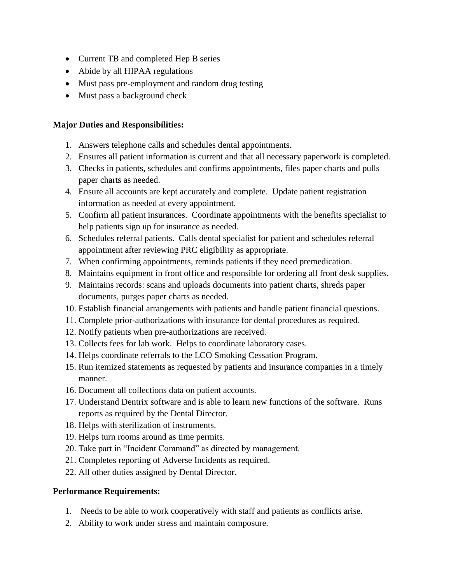- Current TB and completed Hep B series
- Abide by all HIPAA regulations
- Must pass pre-employment and random drug testing
- Must pass a background check

## **Major Duties and Responsibilities:**

- 1. Answers telephone calls and schedules dental appointments.
- 2. Ensures all patient information is current and that all necessary paperwork is completed.
- 3. Checks in patients, schedules and confirms appointments, files paper charts and pulls paper charts as needed.
- 4. Ensure all accounts are kept accurately and complete. Update patient registration information as needed at every appointment.
- 5. Confirm all patient insurances. Coordinate appointments with the benefits specialist to help patients sign up for insurance as needed.
- 6. Schedules referral patients. Calls dental specialist for patient and schedules referral appointment after reviewing PRC eligibility as appropriate.
- 7. When confirming appointments, reminds patients if they need premedication.
- 8. Maintains equipment in front office and responsible for ordering all front desk supplies.
- 9. Maintains records: scans and uploads documents into patient charts, shreds paper documents, purges paper charts as needed.
- 10. Establish financial arrangements with patients and handle patient financial questions.
- 11. Complete prior-authorizations with insurance for dental procedures as required.
- 12. Notify patients when pre-authorizations are received.
- 13. Collects fees for lab work. Helps to coordinate laboratory cases.
- 14. Helps coordinate referrals to the LCO Smoking Cessation Program.
- 15. Run itemized statements as requested by patients and insurance companies in a timely manner.
- 16. Document all collections data on patient accounts.
- 17. Understand Dentrix software and is able to learn new functions of the software. Runs reports as required by the Dental Director.
- 18. Helps with sterilization of instruments.
- 19. Helps turn rooms around as time permits.
- 20. Take part in "Incident Command" as directed by management.
- 21. Completes reporting of Adverse Incidents as required.
- 22. All other duties assigned by Dental Director.

## **Performance Requirements:**

- 1. Needs to be able to work cooperatively with staff and patients as conflicts arise.
- 2. Ability to work under stress and maintain composure.